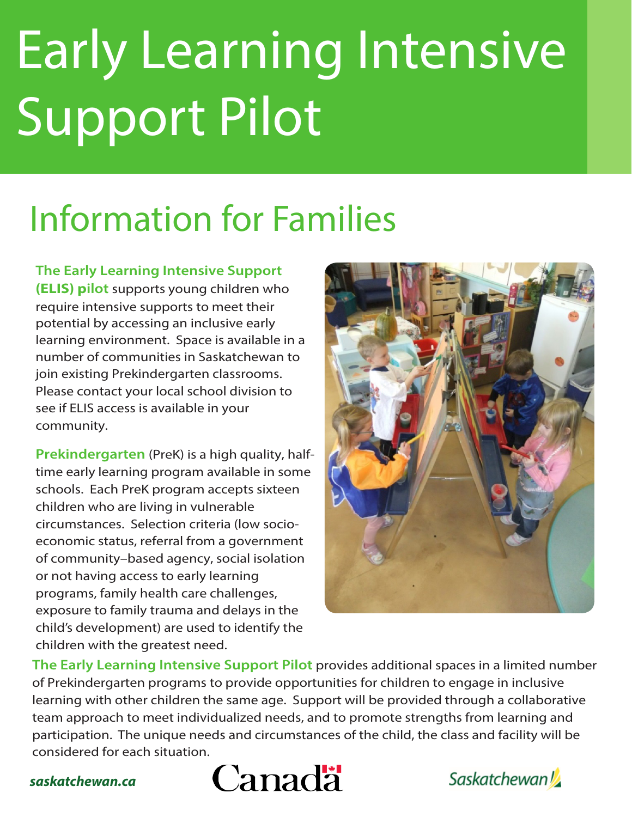# Early Learning Intensive Support Pilot

# Information for Families

**The Early Learning Intensive Support (ELIS) pilot** supports young children who require intensive supports to meet their potential by accessing an inclusive early learning environment. Space is available in a number of communities in Saskatchewan to join existing Prekindergarten classrooms. Please contact your local school division to see if ELIS access is available in your community.

**Prekindergarten** (PreK) is a high quality, halftime early learning program available in some schools. Each PreK program accepts sixteen children who are living in vulnerable circumstances. Selection criteria (low socioeconomic status, referral from a government of community–based agency, social isolation or not having access to early learning programs, family health care challenges, exposure to family trauma and delays in the child's development) are used to identify the children with the greatest need.



**The Early Learning Intensive Support Pilot** provides additional spaces in a limited number of Prekindergarten programs to provide opportunities for children to engage in inclusive learning with other children the same age. Support will be provided through a collaborative team approach to meet individualized needs, and to promote strengths from learning and participation. The unique needs and circumstances of the child, the class and facility will be considered for each situation.





*saskatchewan.ca*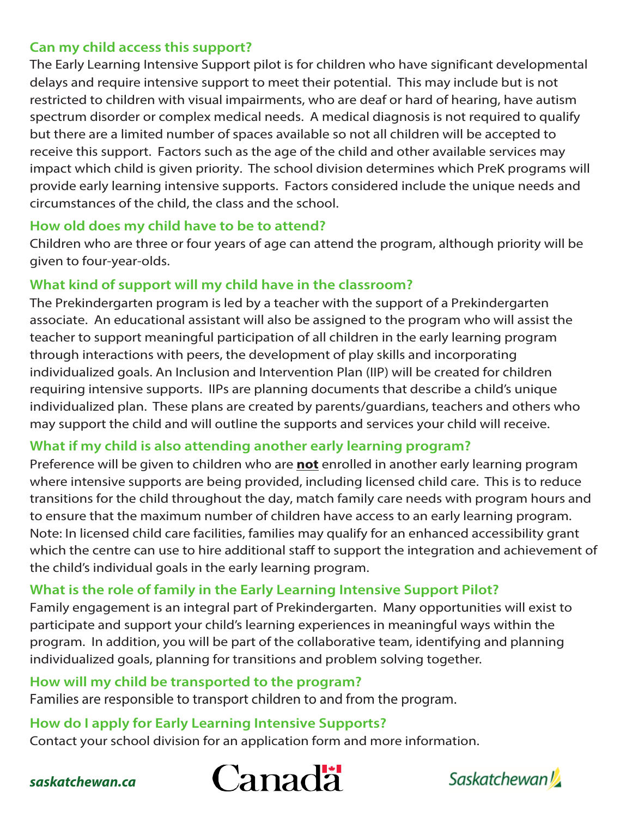#### **Can my child access this support?**

The Early Learning Intensive Support pilot is for children who have significant developmental delays and require intensive support to meet their potential. This may include but is not restricted to children with visual impairments, who are deaf or hard of hearing, have autism spectrum disorder or complex medical needs. A medical diagnosis is not required to qualify but there are a limited number of spaces available so not all children will be accepted to receive this support. Factors such as the age of the child and other available services may impact which child is given priority. The school division determines which PreK programs will provide early learning intensive supports. Factors considered include the unique needs and circumstances of the child, the class and the school.

#### **How old does my child have to be to attend?**

Children who are three or four years of age can attend the program, although priority will be given to four-year-olds.

#### **What kind of support will my child have in the classroom?**

The Prekindergarten program is led by a teacher with the support of a Prekindergarten associate. An educational assistant will also be assigned to the program who will assist the teacher to support meaningful participation of all children in the early learning program through interactions with peers, the development of play skills and incorporating individualized goals. An Inclusion and Intervention Plan (IIP) will be created for children requiring intensive supports. IIPs are planning documents that describe a child's unique individualized plan. These plans are created by parents/guardians, teachers and others who may support the child and will outline the supports and services your child will receive.

#### **What if my child is also attending another early learning program?**

Preference will be given to children who are **not** enrolled in another early learning program where intensive supports are being provided, including licensed child care. This is to reduce transitions for the child throughout the day, match family care needs with program hours and to ensure that the maximum number of children have access to an early learning program. Note: In licensed child care facilities, families may qualify for an enhanced accessibility grant which the centre can use to hire additional staff to support the integration and achievement of the child's individual goals in the early learning program.

## **What is the role of family in the Early Learning Intensive Support Pilot?**

Family engagement is an integral part of Prekindergarten. Many opportunities will exist to participate and support your child's learning experiences in meaningful ways within the program. In addition, you will be part of the collaborative team, identifying and planning individualized goals, planning for transitions and problem solving together.

#### **How will my child be transported to the program?**

Families are responsible to transport children to and from the program.

## **How do I apply for Early Learning Intensive Supports?**

Contact your school division for an application form and more information.





#### *saskatchewan.ca*